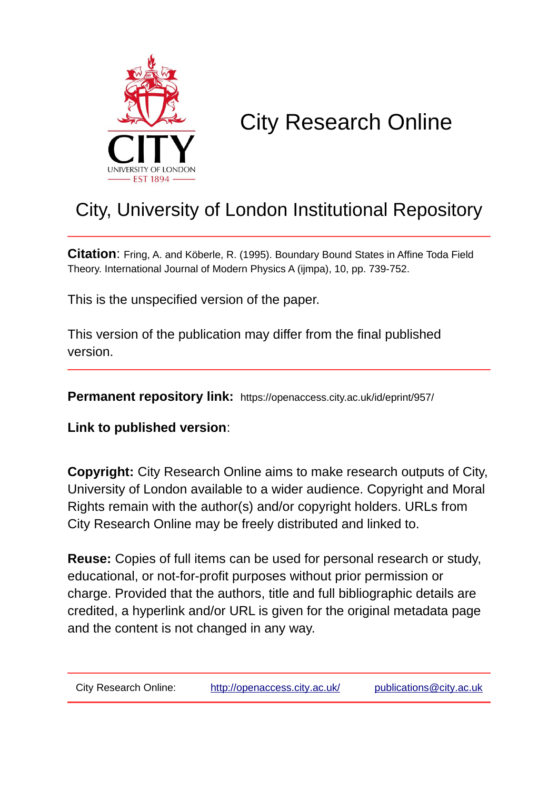

# City Research Online

## City, University of London Institutional Repository

**Citation**: Fring, A. and Köberle, R. (1995). Boundary Bound States in Affine Toda Field Theory. International Journal of Modern Physics A (ijmpa), 10, pp. 739-752.

This is the unspecified version of the paper.

This version of the publication may differ from the final published version.

**Permanent repository link:** https://openaccess.city.ac.uk/id/eprint/957/

**Link to published version**:

**Copyright:** City Research Online aims to make research outputs of City, University of London available to a wider audience. Copyright and Moral Rights remain with the author(s) and/or copyright holders. URLs from City Research Online may be freely distributed and linked to.

**Reuse:** Copies of full items can be used for personal research or study, educational, or not-for-profit purposes without prior permission or charge. Provided that the authors, title and full bibliographic details are credited, a hyperlink and/or URL is given for the original metadata page and the content is not changed in any way.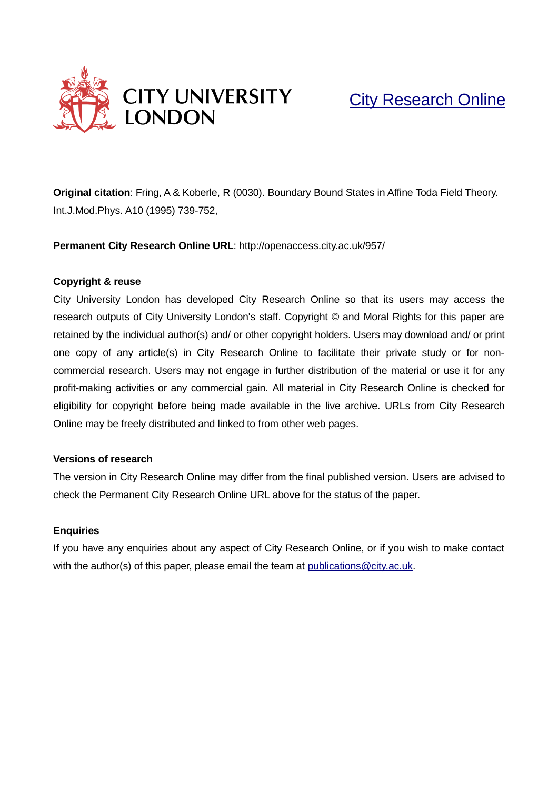

[City Research Online](http://openaccess.city.ac.uk/)

**Original citation**: Fring, A & Koberle, R (0030). Boundary Bound States in Affine Toda Field Theory. Int.J.Mod.Phys. A10 (1995) 739-752,

**Permanent City Research Online URL**: http://openaccess.city.ac.uk/957/

#### **Copyright & reuse**

City University London has developed City Research Online so that its users may access the research outputs of City University London's staff. Copyright © and Moral Rights for this paper are retained by the individual author(s) and/ or other copyright holders. Users may download and/ or print one copy of any article(s) in City Research Online to facilitate their private study or for noncommercial research. Users may not engage in further distribution of the material or use it for any profit-making activities or any commercial gain. All material in City Research Online is checked for eligibility for copyright before being made available in the live archive. URLs from City Research Online may be freely distributed and linked to from other web pages.

#### **Versions of research**

The version in City Research Online may differ from the final published version. Users are advised to check the Permanent City Research Online URL above for the status of the paper.

#### **Enquiries**

If you have any enquiries about any aspect of City Research Online, or if you wish to make contact with the author(s) of this paper, please email the team at [publications@city.ac.uk.](mailto:publications@city.ac.uk)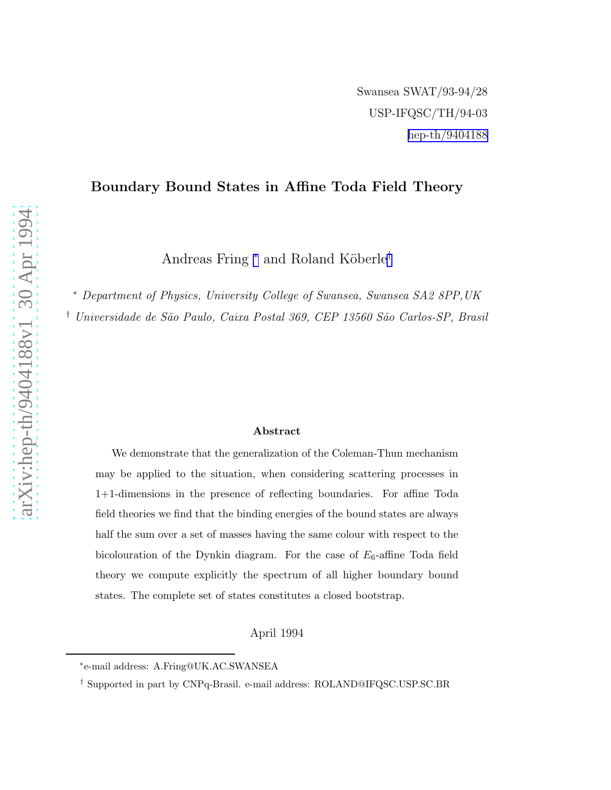#### Boundary Bound States in Affine Toda Field Theory

Andreas Fring <sup>\*</sup> and Roland Köberle<sup>†</sup>

<sup>∗</sup> *Department of Physics, University College of Swansea, Swansea SA2 8PP,UK*

† *Universidade de S˜ao Paulo, Caixa Postal 369, CEP 13560 S˜ao Carlos-SP, Brasil*

#### Abstract

We demonstrate that the generalization of the Coleman-Thun mechanism may be applied to the situation, when considering scattering processes in 1+1-dimensions in the presence of reflecting boundaries. For affine Toda field theories we find that the binding energies of the bound states are always half the sum over a set of masses having the same colour with respect to the bicolouration of the Dynkin diagram. For the case of  $E_6$ -affine Toda field theory we compute explicitly the spectrum of all higher boundary bound states. The complete set of states constitutes a closed bootstrap.

April 1994

<sup>∗</sup> e-mail address: A.Fring@UK.AC.SWANSEA

<sup>†</sup> Supported in part by CNPq-Brasil. e-mail address: ROLAND@IFQSC.USP.SC.BR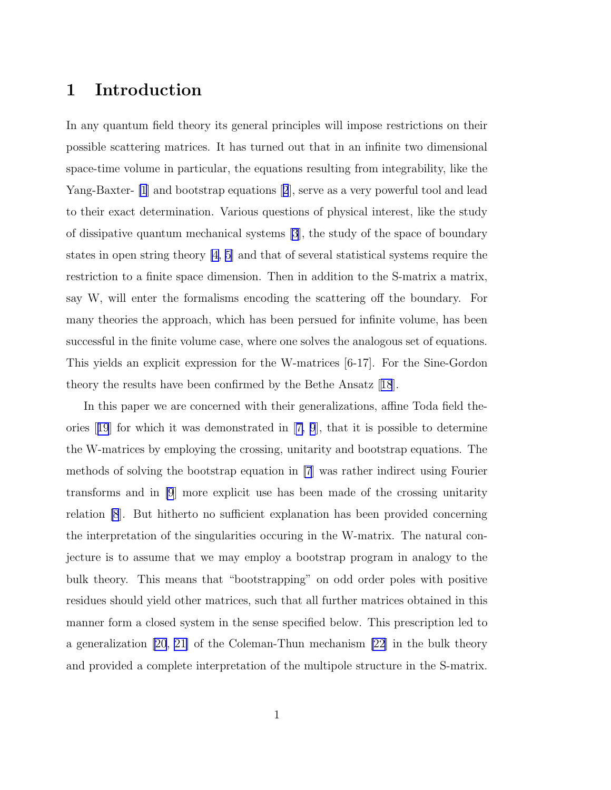## 1 Introduction

In any quantum field theory its general principles will impose restrictions on their possible scattering matrices. It has turned out that in an infinite two dimensional space-time volume in particular, the equations resulting from integrability, like the Yang-Baxter- [\[1](#page-16-0)] and bootstrap equations[[2](#page-16-0)], serve as a very powerful tool and lead to their exact determination. Various questions of physical interest, like the study of dissipative quantum mechanical systems [\[3](#page-16-0)], the study of the space of boundary states in open string theory [\[4](#page-16-0), [5\]](#page-16-0) and that of several statistical systems require the restriction to a finite space dimension. Then in addition to the S-matrix a matrix, say W, will enter the formalisms encoding the scattering off the boundary. For many theories the approach, which has been persued for infinite volume, has been successful in the finite volume case, where one solves the analogous set of equations. This yields an explicit expression for the W-matrices [6-17]. For the Sine-Gordon theory the results have been confirmed by the Bethe Ansatz[[18](#page-17-0)].

In this paper we are concerned with their generalizations, affine Toda field theories[[19](#page-18-0)] for which it was demonstrated in[[7, 9](#page-16-0)], that it is possible to determine the W-matrices by employing the crossing, unitarity and bootstrap equations. The methods of solving the bootstrap equation in [\[7](#page-16-0)] was rather indirect using Fourier transforms and in [\[9](#page-16-0)] more explicit use has been made of the crossing unitarity relation [\[8](#page-16-0)]. But hitherto no sufficient explanation has been provided concerning the interpretation of the singularities occuring in the W-matrix. The natural conjecture is to assume that we may employ a bootstrap program in analogy to the bulk theory. This means that "bootstrapping" on odd order poles with positive residues should yield other matrices, such that all further matrices obtained in this manner form a closed system in the sense specified below. This prescription led to a generalization [\[20](#page-18-0), [21\]](#page-18-0) of the Coleman-Thun mechanism [\[22\]](#page-18-0) in the bulk theory and provided a complete interpretation of the multipole structure in the S-matrix.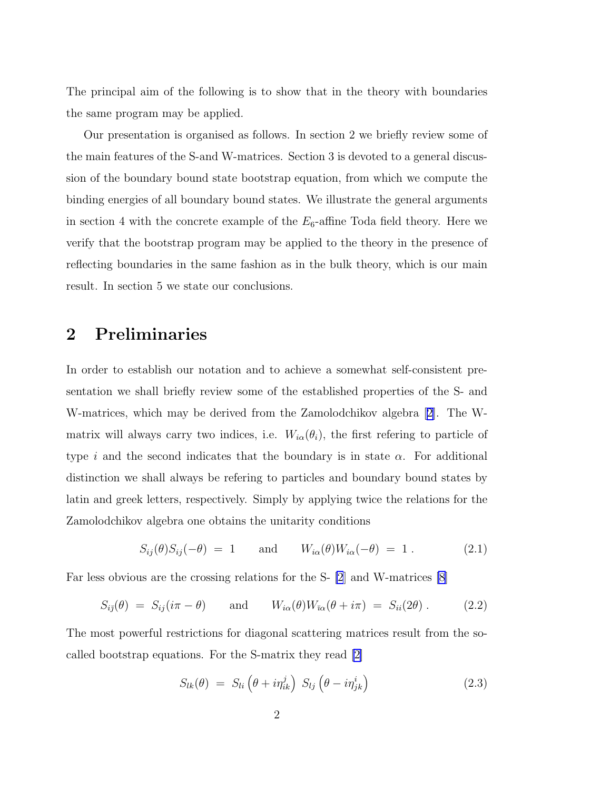<span id="page-4-0"></span>The principal aim of the following is to show that in the theory with boundaries the same program may be applied.

Our presentation is organised as follows. In section 2 we briefly review some of the main features of the S-and W-matrices. Section 3 is devoted to a general discussion of the boundary bound state bootstrap equation, from which we compute the binding energies of all boundary bound states. We illustrate the general arguments in section 4 with the concrete example of the  $E_6$ -affine Toda field theory. Here we verify that the bootstrap program may be applied to the theory in the presence of reflecting boundaries in the same fashion as in the bulk theory, which is our main result. In section 5 we state our conclusions.

## 2 Preliminaries

In order to establish our notation and to achieve a somewhat self-consistent presentation we shall briefly review some of the established properties of the S- and W-matrices, which may be derived from the Zamolodchikov algebra [\[2\]](#page-16-0). The Wmatrix will always carry two indices, i.e.  $W_{i\alpha}(\theta_i)$ , the first refering to particle of type i and the second indicates that the boundary is in state  $\alpha$ . For additional distinction we shall always be refering to particles and boundary bound states by latin and greek letters, respectively. Simply by applying twice the relations for the Zamolodchikov algebra one obtains the unitarity conditions

$$
S_{ij}(\theta)S_{ij}(-\theta) = 1 \quad \text{and} \quad W_{i\alpha}(\theta)W_{i\alpha}(-\theta) = 1. \quad (2.1)
$$

Far less obvious are the crossing relations for the S- [\[2](#page-16-0)] and W-matrices [\[8](#page-16-0)]

$$
S_{i\bar{j}}(\theta) = S_{i\bar{j}}(i\pi - \theta) \quad \text{and} \quad W_{i\alpha}(\theta)W_{\bar{i}\alpha}(\theta + i\pi) = S_{i\bar{i}}(2\theta). \quad (2.2)
$$

The most powerful restrictions for diagonal scattering matrices result from the socalled bootstrap equations. For the S-matrix they read [\[2\]](#page-16-0)

$$
S_{lk}(\theta) = S_{li} \left(\theta + i\eta_{ik}^j\right) S_{lj} \left(\theta - i\eta_{jk}^i\right) \tag{2.3}
$$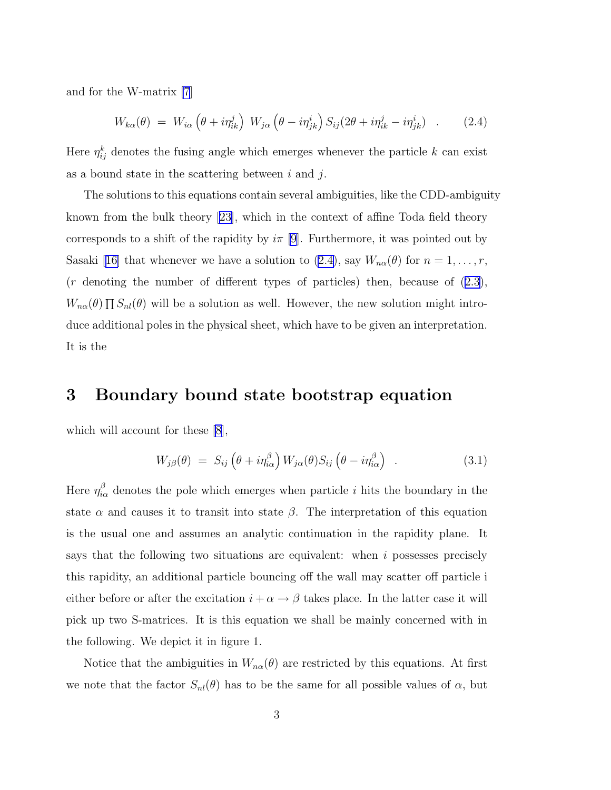<span id="page-5-0"></span>and for the W-matrix [\[7](#page-16-0)]

$$
W_{k\alpha}(\theta) = W_{i\alpha} \left( \theta + i \eta_{ik}^j \right) W_{j\alpha} \left( \theta - i \eta_{jk}^i \right) S_{ij} (2\theta + i \eta_{ik}^j - i \eta_{jk}^i) \quad . \tag{2.4}
$$

Here  $\eta_{ij}^k$  denotes the fusing angle which emerges whenever the particle k can exist as a bound state in the scattering between  $i$  and  $j$ .

The solutions to this equations contain several ambiguities, like the CDD-ambiguity known from the bulk theory [\[23\]](#page-18-0), which in the context of affine Toda field theory corresponds to a shift of the rapidity by  $i\pi$  [\[9](#page-16-0)]. Furthermore, it was pointed out by Sasaki[[16\]](#page-17-0) that whenever we have a solution to (2.4), say  $W_{n\alpha}(\theta)$  for  $n = 1, \ldots, r$ ,  $(r$  denoting the number of different types of particles) then, because of  $(2.3)$  $(2.3)$ ,  $W_{n\alpha}(\theta) \prod S_{nl}(\theta)$  will be a solution as well. However, the new solution might introduce additional poles in the physical sheet, which have to be given an interpretation. It is the

## 3 Boundary bound state bootstrap equation

which will account for these [\[8](#page-16-0)],

$$
W_{j\beta}(\theta) = S_{ij} \left(\theta + i\eta_{i\alpha}^{\beta}\right) W_{j\alpha}(\theta) S_{ij} \left(\theta - i\eta_{i\alpha}^{\beta}\right) \quad . \tag{3.1}
$$

Here  $\eta_{i\alpha}^{\beta}$  denotes the pole which emerges when particle *i* hits the boundary in the state  $\alpha$  and causes it to transit into state  $\beta$ . The interpretation of this equation is the usual one and assumes an analytic continuation in the rapidity plane. It says that the following two situations are equivalent: when  $i$  possesses precisely this rapidity, an additional particle bouncing off the wall may scatter off particle i either before or after the excitation  $i + \alpha \rightarrow \beta$  takes place. In the latter case it will pick up two S-matrices. It is this equation we shall be mainly concerned with in the following. We depict it in figure 1.

Notice that the ambiguities in  $W_{n\alpha}(\theta)$  are restricted by this equations. At first we note that the factor  $S_{nl}(\theta)$  has to be the same for all possible values of  $\alpha$ , but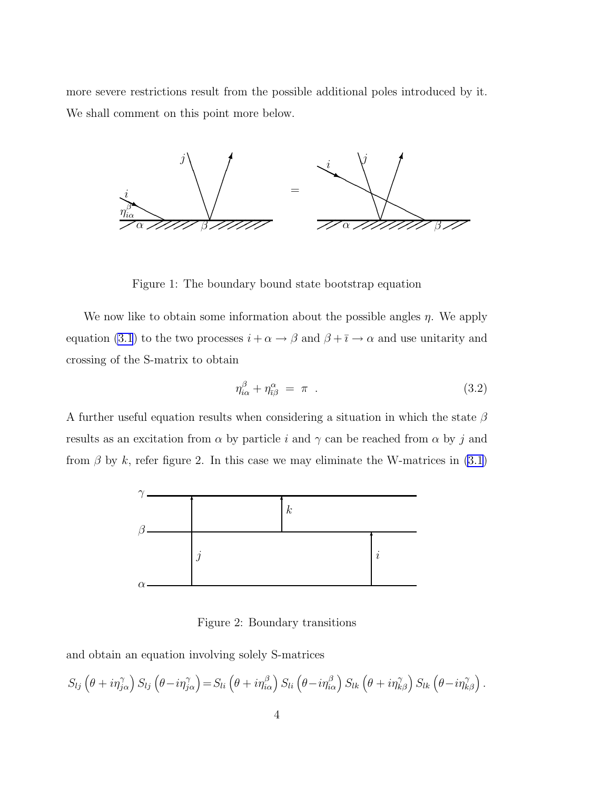<span id="page-6-0"></span>more severe restrictions result from the possible additional poles introduced by it. We shall comment on this point more below.



Figure 1: The boundary bound state bootstrap equation

We now like to obtain some information about the possible angles  $\eta$ . We apply equation [\(3.1](#page-5-0)) to the two processes  $i+\alpha\to\beta$  and  $\beta+\bar{\imath}\to\alpha$  and use unitarity and crossing of the S-matrix to obtain

$$
\eta_{i\alpha}^{\beta} + \eta_{\bar{\iota}\beta}^{\alpha} = \pi \tag{3.2}
$$

A further useful equation results when considering a situation in which the state  $\beta$ results as an excitation from  $\alpha$  by particle i and  $\gamma$  can be reached from  $\alpha$  by j and from  $\beta$  by k, refer figure 2. In this case we may eliminate the W-matrices in [\(3.1](#page-5-0))



Figure 2: Boundary transitions

and obtain an equation involving solely S-matrices

$$
S_{lj}(\theta + i\eta_{j\alpha}^{\gamma}) S_{lj}(\theta - i\eta_{j\alpha}^{\gamma}) = S_{li}(\theta + i\eta_{i\alpha}^{\beta}) S_{li}(\theta - i\eta_{i\alpha}^{\beta}) S_{lk}(\theta + i\eta_{k\beta}^{\gamma}) S_{lk}(\theta - i\eta_{k\beta}^{\gamma}).
$$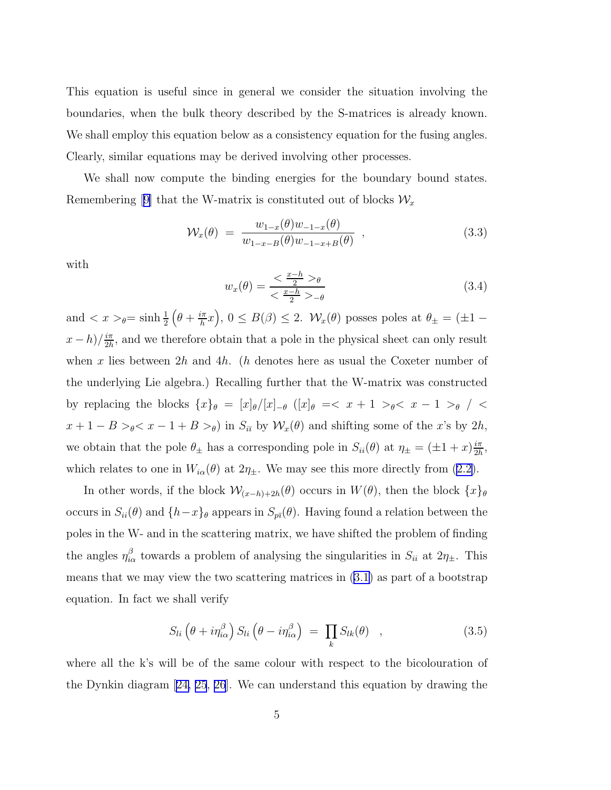<span id="page-7-0"></span>This equation is useful since in general we consider the situation involving the boundaries, when the bulk theory described by the S-matrices is already known. We shall employ this equation below as a consistency equation for the fusing angles. Clearly, similar equations may be derived involving other processes.

We shall now compute the binding energies for the boundary bound states. Remembering[[9\]](#page-16-0) that the W-matrix is constituted out of blocks  $\mathcal{W}_x$ 

$$
\mathcal{W}_x(\theta) = \frac{w_{1-x}(\theta)w_{-1-x}(\theta)}{w_{1-x-B}(\theta)w_{-1-x+B}(\theta)}, \qquad (3.3)
$$

with

$$
w_x(\theta) = \frac{\langle \frac{x-h}{2} \rangle_{\theta}}{\langle \frac{x-h}{2} \rangle_{-\theta}}
$$
\n(3.4)

and  $\langle x \rangle_{\theta} = \sinh \frac{1}{2} \left( \theta + \frac{i\pi}{h} \right)$  $\left(\frac{\partial \pi}{\partial h}x\right)$ ,  $0 \leq B(\beta) \leq 2$ .  $\mathcal{W}_x(\theta)$  posses poles at  $\theta_{\pm} = (\pm 1 - \pi)$  $(x-h)/\frac{i\pi}{2h}$  $\frac{i\pi}{2h}$ , and we therefore obtain that a pole in the physical sheet can only result when x lies between  $2h$  and  $4h$ . (h denotes here as usual the Coxeter number of the underlying Lie algebra.) Recalling further that the W-matrix was constructed by replacing the blocks  $\{x\}_\theta = [x]_\theta/[x]_{-\theta}$  ( $[x]_\theta = \langle x + 1 \rangle_\theta \langle x - 1 \rangle_\theta / \langle x - 1 \rangle_\theta$  $x + 1 - B >_{\theta} < x - 1 + B >_{\theta}$  in  $S_{i\bar{i}}$  by  $\mathcal{W}_x(\theta)$  and shifting some of the x's by 2h, we obtain that the pole  $\theta_{\pm}$  has a corresponding pole in  $S_{ii}(\theta)$  at  $\eta_{\pm} = (\pm 1 + x) \frac{i\pi}{2h}$  $\frac{i\pi}{2h}$ which relates to one in  $W_{i\alpha}(\theta)$  at  $2\eta_{\pm}$ . We may see this more directly from ([2.2\)](#page-4-0).

In other words, if the block  $\mathcal{W}_{(x-h)+2h}(\theta)$  occurs in  $W(\theta)$ , then the block  $\{x\}_\theta$ occurs in  $S_{ii}(\theta)$  and  $\{h-x\}_\theta$  appears in  $S_{p\bar{i}}(\theta)$ . Having found a relation between the poles in the W- and in the scattering matrix, we have shifted the problem of finding the angles  $\eta_{i\alpha}^{\beta}$  towards a problem of analysing the singularities in  $S_{ii}$  at  $2\eta_{\pm}$ . This means that we may view the two scattering matrices in ([3.1\)](#page-5-0) as part of a bootstrap equation. In fact we shall verify

$$
S_{li}\left(\theta+i\eta_{i\alpha}^{\beta}\right)S_{li}\left(\theta-i\eta_{i\alpha}^{\beta}\right) = \prod_{k} S_{lk}(\theta) , \qquad (3.5)
$$

where all the k's will be of the same colour with respect to the bicolouration of the Dynkin diagram[[24, 25](#page-18-0), [26](#page-18-0)]. We can understand this equation by drawing the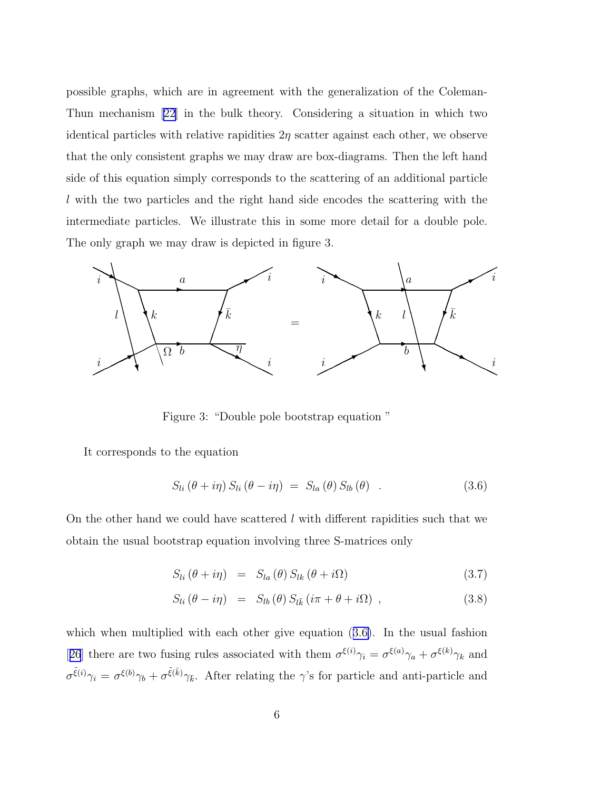possible graphs, which are in agreement with the generalization of the Coleman-Thun mechanism [\[22\]](#page-18-0) in the bulk theory. Considering a situation in which two identical particles with relative rapidities  $2\eta$  scatter against each other, we observe that the only consistent graphs we may draw are box-diagrams. Then the left hand side of this equation simply corresponds to the scattering of an additional particle l with the two particles and the right hand side encodes the scattering with the intermediate particles. We illustrate this in some more detail for a double pole. The only graph we may draw is depicted in figure 3.



Figure 3: "Double pole bootstrap equation "

It corresponds to the equation

$$
S_{li}(\theta + i\eta) S_{li}(\theta - i\eta) = S_{la}(\theta) S_{lb}(\theta) . \qquad (3.6)
$$

On the other hand we could have scattered  $l$  with different rapidities such that we obtain the usual bootstrap equation involving three S-matrices only

$$
S_{li}(\theta + i\eta) = S_{la}(\theta) S_{lk}(\theta + i\Omega) \qquad (3.7)
$$

$$
S_{li}(\theta - i\eta) = S_{lb}(\theta) S_{l\bar{k}}(i\pi + \theta + i\Omega) , \qquad (3.8)
$$

which when multiplied with each other give equation (3.6). In the usual fashion [[26](#page-18-0)] there are two fusing rules associated with them  $\sigma^{\xi(i)}\gamma_i = \sigma^{\xi(a)}\gamma_a + \sigma^{\xi(k)}\gamma_k$  and  $\sigma^{\tilde{\xi}(i)}\gamma_i = \sigma^{\xi(b)}\gamma_b + \sigma^{\tilde{\xi}(\bar{k})}\gamma_{\bar{k}}$ . After relating the  $\gamma$ 's for particle and anti-particle and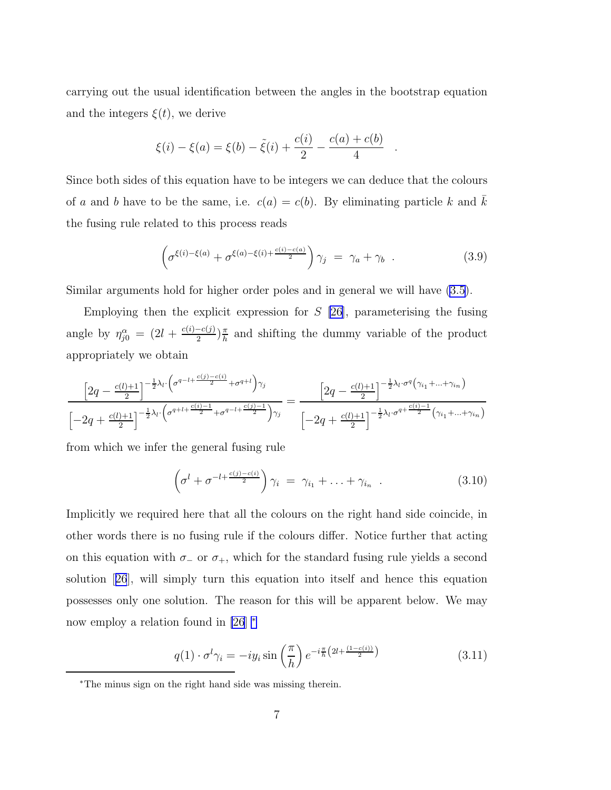<span id="page-9-0"></span>carrying out the usual identification between the angles in the bootstrap equation and the integers  $\xi(t)$ , we derive

$$
\xi(i) - \xi(a) = \xi(b) - \tilde{\xi}(i) + \frac{c(i)}{2} - \frac{c(a) + c(b)}{4}
$$

Since both sides of this equation have to be integers we can deduce that the colours of a and b have to be the same, i.e.  $c(a) = c(b)$ . By eliminating particle k and k the fusing rule related to this process reads

$$
\left(\sigma^{\xi(i)-\xi(a)} + \sigma^{\xi(a)-\xi(i)+\frac{c(i)-c(a)}{2}}\right)\gamma_j = \gamma_a + \gamma_b \quad . \tag{3.9}
$$

.

Similar arguments hold for higher order poles and in general we will have [\(3.5](#page-7-0)).

Employing then the explicit expression for  $S$  [\[26](#page-18-0)], parameterising the fusing angle by  $\eta_{j0}^{\alpha} = (2l + \frac{c(i) - c(j)}{2})\frac{\pi}{h}$  $\frac{\pi}{h}$  and shifting the dummy variable of the product appropriately we obtain

$$
\frac{\left[2q-\frac{c(l)+1}{2}\right]^{-\frac{1}{2}\lambda_{l}\cdot\left(\sigma^{q-l+\frac{c(j)-c(i)}{2}}+\sigma^{q+l}\right)\gamma_{j}}}{\left[-2q+\frac{c(l)+1}{2}\right]^{-\frac{1}{2}\lambda_{l}\cdot\left(\sigma^{q+l+\frac{c(i)-1}{2}}+\sigma^{q-l+\frac{c(j)-1}{2}}\right)\gamma_{j}}}=\frac{\left[2q-\frac{c(l)+1}{2}\right]^{-\frac{1}{2}\lambda_{l}\cdot\sigma^{q}\left(\gamma_{i_{1}}+\ldots+\gamma_{i_{n}}\right)}}{\left[-2q+\frac{c(l)+1}{2}\right]^{-\frac{1}{2}\lambda_{l}\cdot\sigma^{q+\frac{c(i)-1}{2}}\left(\gamma_{i_{1}}+\ldots+\gamma_{i_{n}}\right)}
$$

from which we infer the general fusing rule

$$
\left(\sigma^{l} + \sigma^{-l+\frac{c(j)-c(i)}{2}}\right)\gamma_i = \gamma_{i_1} + \ldots + \gamma_{i_n} \qquad (3.10)
$$

Implicitly we required here that all the colours on the right hand side coincide, in other words there is no fusing rule if the colours differ. Notice further that acting on this equation with  $\sigma_-\$  or  $\sigma_+$ , which for the standard fusing rule yields a second solution[[26](#page-18-0)], will simply turn this equation into itself and hence this equation possesses only one solution. The reason for this will be apparent below. We may now employ a relation found in [\[26](#page-18-0)] <sup>∗</sup>

$$
q(1) \cdot \sigma^l \gamma_i = -iy_i \sin\left(\frac{\pi}{h}\right) e^{-i\frac{\pi}{h} \left(2l + \frac{(1 - c(i))}{2}\right)} \tag{3.11}
$$

<sup>∗</sup>The minus sign on the right hand side was missing therein.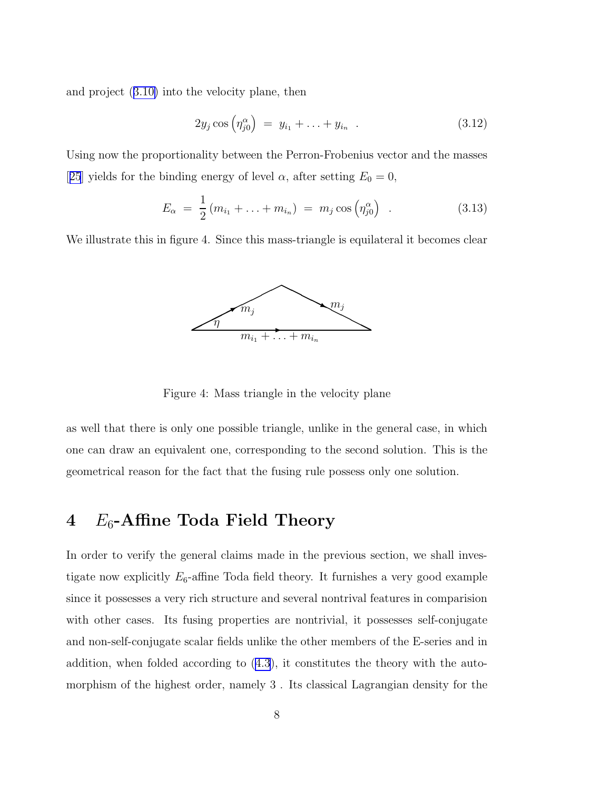and project ([3.10\)](#page-9-0) into the velocity plane, then

$$
2y_j \cos\left(\eta_{j0}^{\alpha}\right) = y_{i_1} + \ldots + y_{i_n} \tag{3.12}
$$

Using now the proportionality between the Perron-Frobenius vector and the masses [[25](#page-18-0)] yields for the binding energy of level  $\alpha$ , after setting  $E_0 = 0$ ,

$$
E_{\alpha} = \frac{1}{2} (m_{i_1} + \ldots + m_{i_n}) = m_j \cos \left( \eta_{j0}^{\alpha} \right) . \tag{3.13}
$$

We illustrate this in figure 4. Since this mass-triangle is equilateral it becomes clear



Figure 4: Mass triangle in the velocity plane

as well that there is only one possible triangle, unlike in the general case, in which one can draw an equivalent one, corresponding to the second solution. This is the geometrical reason for the fact that the fusing rule possess only one solution.

## 4  $E_6$ -Affine Toda Field Theory

In order to verify the general claims made in the previous section, we shall investigate now explicitly  $E_6$ -affine Toda field theory. It furnishes a very good example since it possesses a very rich structure and several nontrival features in comparision with other cases. Its fusing properties are nontrivial, it possesses self-conjugate and non-self-conjugate scalar fields unlike the other members of the E-series and in addition, when folded according to ([4.3](#page-11-0)), it constitutes the theory with the automorphism of the highest order, namely 3 . Its classical Lagrangian density for the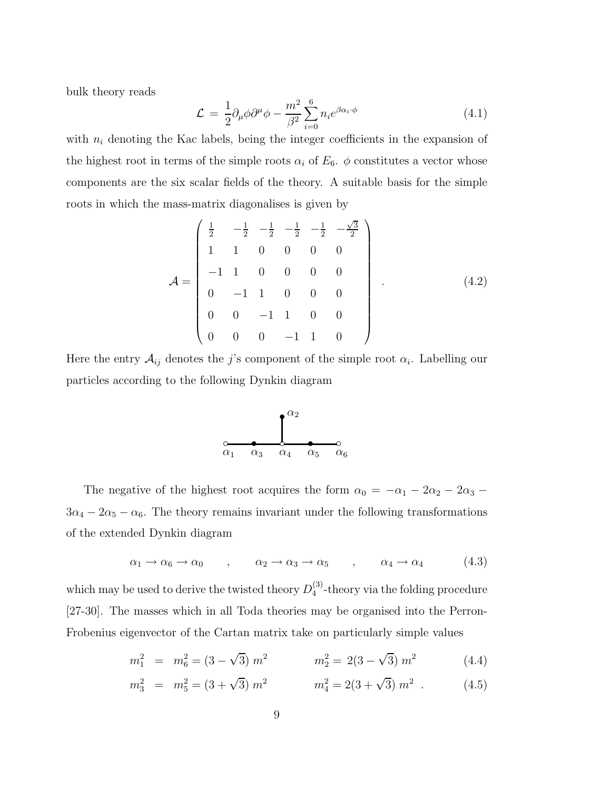<span id="page-11-0"></span>bulk theory reads

$$
\mathcal{L} = \frac{1}{2} \partial_{\mu} \phi \partial^{\mu} \phi - \frac{m^2}{\beta^2} \sum_{i=0}^{6} n_i e^{\beta \alpha_i \cdot \phi}
$$
 (4.1)

with  $n_i$  denoting the Kac labels, being the integer coefficients in the expansion of the highest root in terms of the simple roots  $\alpha_i$  of  $E_6$ .  $\phi$  constitutes a vector whose components are the six scalar fields of the theory. A suitable basis for the simple roots in which the mass-matrix diagonalises is given by

$$
\mathcal{A} = \begin{pmatrix} \frac{1}{2} & -\frac{1}{2} & -\frac{1}{2} & -\frac{1}{2} & -\frac{1}{2} & -\frac{\sqrt{3}}{2} \\ 1 & 1 & 0 & 0 & 0 & 0 \\ -1 & 1 & 0 & 0 & 0 & 0 \\ 0 & -1 & 1 & 0 & 0 & 0 \\ 0 & 0 & -1 & 1 & 0 & 0 \\ 0 & 0 & 0 & -1 & 1 & 0 \end{pmatrix} . \tag{4.2}
$$

Here the entry  $A_{ij}$  denotes the j's component of the simple root  $\alpha_i$ . Labelling our particles according to the following Dynkin diagram



The negative of the highest root acquires the form  $\alpha_0 = -\alpha_1 - 2\alpha_2 - 2\alpha_3$  $3\alpha_4 - 2\alpha_5 - \alpha_6$ . The theory remains invariant under the following transformations of the extended Dynkin diagram

 $\alpha_1 \to \alpha_6 \to \alpha_0$ ,  $\alpha_2 \to \alpha_3 \to \alpha_5$ ,  $\alpha_4 \to \alpha_4$  (4.3)

which may be used to derive the twisted theory  $D_4^{(3)}$  $_4^{\text{(3)}}$ -theory via the folding procedure [27-30]. The masses which in all Toda theories may be organised into the Perron-Frobenius eigenvector of the Cartan matrix take on particularly simple values

$$
m_1^2 = m_6^2 = (3 - \sqrt{3}) m^2 \qquad m_2^2 = 2(3 - \sqrt{3}) m^2 \qquad (4.4)
$$

$$
m_3^2 = m_5^2 = (3 + \sqrt{3}) m^2 \qquad m_4^2 = 2(3 + \sqrt{3}) m^2 \qquad (4.5)
$$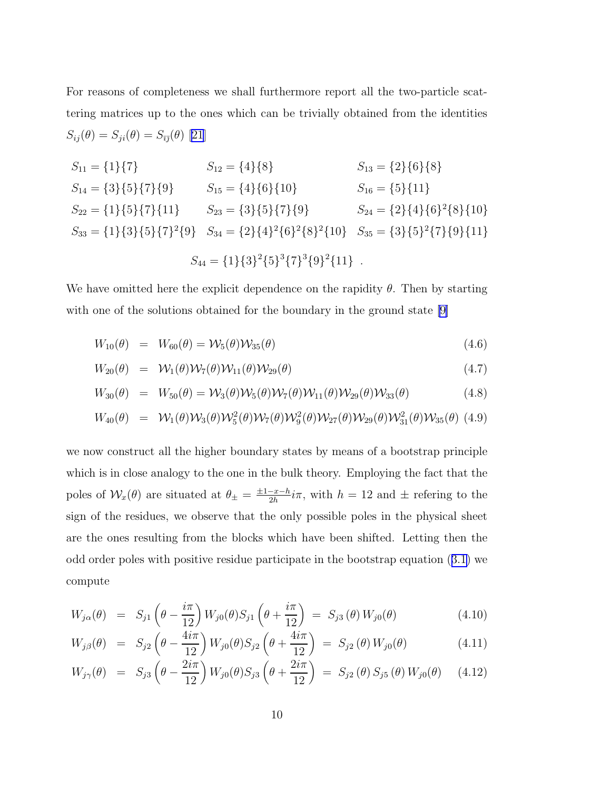<span id="page-12-0"></span>For reasons of completeness we shall furthermore report all the two-particle scattering matrices up to the ones which can be trivially obtained from the identities  $S_{ij}(\theta) = S_{ji}(\theta) = S_{\bar{i}\bar{j}}(\theta)$  [\[21](#page-18-0)]

$$
S_{11} = \{1\}\{7\}
$$
  
\n
$$
S_{12} = \{4\}\{8\}
$$
  
\n
$$
S_{13} = \{2\}\{6\}\{8\}
$$
  
\n
$$
S_{14} = \{3\}\{5\}\{7\}\{9\}
$$
  
\n
$$
S_{15} = \{4\}\{6\}\{10\}
$$
  
\n
$$
S_{16} = \{5\}\{11\}
$$
  
\n
$$
S_{22} = \{1\}\{5\}\{7\}\{11\}
$$
  
\n
$$
S_{23} = \{3\}\{5\}\{7\}\{9\}
$$
  
\n
$$
S_{24} = \{2\}\{4\}\{6\}^2\{8\}\{10\}
$$
  
\n
$$
S_{33} = \{1\}\{3\}\{5\}\{7\}^2\{9\}
$$
  
\n
$$
S_{34} = \{2\}\{4\}^2\{6\}^2\{8\}^2\{10\}
$$
  
\n
$$
S_{35} = \{3\}\{5\}^2\{7\}\{9\}\{11\}
$$
  
\n
$$
S_{44} = \{1\}\{3\}^2\{5\}^3\{7\}^3\{9\}^2\{11\}
$$

We have omitted here the explicit dependence on the rapidity  $\theta$ . Then by starting with one of the solutions obtained for the boundary in the ground state [\[9](#page-16-0)]

$$
W_{10}(\theta) = W_{60}(\theta) = \mathcal{W}_5(\theta)\mathcal{W}_{35}(\theta)
$$
\n(4.6)

$$
W_{20}(\theta) = \mathcal{W}_1(\theta)\mathcal{W}_7(\theta)\mathcal{W}_{11}(\theta)\mathcal{W}_{29}(\theta) \tag{4.7}
$$

$$
W_{30}(\theta) = W_{50}(\theta) = \mathcal{W}_3(\theta)\mathcal{W}_5(\theta)\mathcal{W}_7(\theta)\mathcal{W}_{11}(\theta)\mathcal{W}_{29}(\theta)\mathcal{W}_{33}(\theta)
$$
(4.8)

$$
W_{40}(\theta) = \mathcal{W}_{1}(\theta)\mathcal{W}_{3}(\theta)\mathcal{W}_{5}^{2}(\theta)\mathcal{W}_{7}(\theta)\mathcal{W}_{9}^{2}(\theta)\mathcal{W}_{27}(\theta)\mathcal{W}_{29}(\theta)\mathcal{W}_{31}^{2}(\theta)\mathcal{W}_{35}(\theta)
$$
(4.9)

we now construct all the higher boundary states by means of a bootstrap principle which is in close analogy to the one in the bulk theory. Employing the fact that the poles of  $W_x(\theta)$  are situated at  $\theta_{\pm} = \frac{\pm 1 - x - h}{2h} i\pi$ , with  $h = 12$  and  $\pm$  refering to the sign of the residues, we observe that the only possible poles in the physical sheet are the ones resulting from the blocks which have been shifted. Letting then the odd order poles with positive residue participate in the bootstrap equation ([3.1\)](#page-5-0) we compute

$$
W_{j\alpha}(\theta) = S_{j1}\left(\theta - \frac{i\pi}{12}\right)W_{j0}(\theta)S_{j1}\left(\theta + \frac{i\pi}{12}\right) = S_{j3}(\theta)W_{j0}(\theta)
$$
(4.10)

$$
W_{j\beta}(\theta) = S_{j2} \left( \theta - \frac{4i\pi}{12} \right) W_{j0}(\theta) S_{j2} \left( \theta + \frac{4i\pi}{12} \right) = S_{j2}(\theta) W_{j0}(\theta) \tag{4.11}
$$

$$
W_{j\gamma}(\theta) = S_{j3} \left( \theta - \frac{2i\pi}{12} \right) W_{j0}(\theta) S_{j3} \left( \theta + \frac{2i\pi}{12} \right) = S_{j2}(\theta) S_{j5}(\theta) W_{j0}(\theta) \quad (4.12)
$$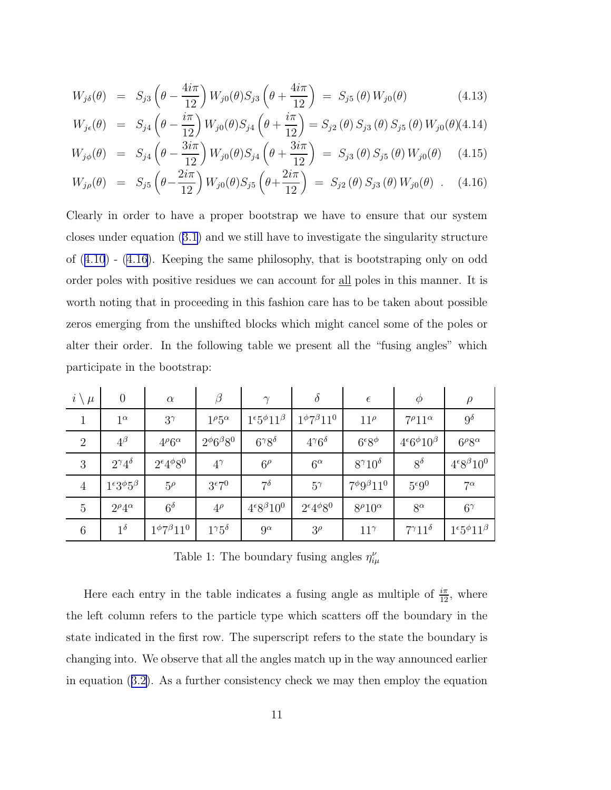$$
W_{j\delta}(\theta) = S_{j3} \left( \theta - \frac{4i\pi}{12} \right) W_{j0}(\theta) S_{j3} \left( \theta + \frac{4i\pi}{12} \right) = S_{j5}(\theta) W_{j0}(\theta)
$$
(4.13)

$$
W_{j\epsilon}(\theta) = S_{j4}\left(\theta - \frac{i\pi}{12}\right)W_{j0}(\theta)S_{j4}\left(\theta + \frac{i\pi}{12}\right) = S_{j2}(\theta)S_{j3}(\theta)S_{j5}(\theta)W_{j0}(\theta)
$$
(4.14)

$$
W_{j\phi}(\theta) = S_{j4}\left(\theta - \frac{3i\pi}{12}\right)W_{j0}(\theta)S_{j4}\left(\theta + \frac{3i\pi}{12}\right) = S_{j3}(\theta)S_{j5}(\theta)W_{j0}(\theta) \quad (4.15)
$$

$$
W_{j\rho}(\theta) = S_{j5}\left(\theta - \frac{2i\pi}{12}\right)W_{j0}(\theta)S_{j5}\left(\theta + \frac{2i\pi}{12}\right) = S_{j2}(\theta)S_{j3}(\theta)W_{j0}(\theta) . \quad (4.16)
$$

Clearly in order to have a proper bootstrap we have to ensure that our system closes under equation [\(3.1](#page-5-0)) and we still have to investigate the singularity structure of ([4.10](#page-12-0)) - ([4.16\)](#page-12-0). Keeping the same philosophy, that is bootstraping only on odd order poles with positive residues we can account for all poles in this manner. It is worth noting that in proceeding in this fashion care has to be taken about possible zeros emerging from the unshifted blocks which might cancel some of the poles or alter their order. In the following table we present all the "fusing angles" which participate in the bootstrap:

| $i \setminus \mu$ | $\boldsymbol{0}$                | $\alpha$                  | $\beta$                | $\gamma$                         | $\delta$                  | $\epsilon$              | $\phi$                           | $\rho$                           |
|-------------------|---------------------------------|---------------------------|------------------------|----------------------------------|---------------------------|-------------------------|----------------------------------|----------------------------------|
| 1                 | $1^{\alpha}$                    | $3^{\gamma}$              | $1^{\rho}5^{\alpha}$   | $1^{\epsilon}5^{\phi}11^{\beta}$ | $1^{\phi}7^{\beta}11^0$   | $11^{\rho}$             | $7^{\rho}11^{\alpha}$            | $9^{\delta}$                     |
| $\overline{2}$    | $4^{\beta}$                     | $4^{\rho}6^{\alpha}$      | $2\phi_6\beta_80$      | $6^{\gamma}8^{\delta}$           | $4^{\gamma}6^{\delta}$    | $6^{\epsilon}8^{\phi}$  | $4^{\epsilon}6^{\phi}10^{\beta}$ | $6^{\rho}8^{\alpha}$             |
| 3                 | $2^{\gamma}4^{\delta}$          | $2^{\epsilon}4^{\phi}8^0$ | $4^{\gamma}$           | $6^{\rho}$                       | $6^{\alpha}$              | $8^{\gamma}10^{\delta}$ | $8^{\delta}$                     | $4^{\epsilon}8^{\beta}10^0$      |
| $\overline{4}$    | $1^{\epsilon}3^{\phi}5^{\beta}$ | $5^{\rho}$                | $3^{\epsilon}7^0$      | $7^{\delta}$                     | $5^{\gamma}$              | $7^{\phi}9^{\beta}11^0$ | $5^{\epsilon}9^0$                | $7^\alpha$                       |
| 5                 | $2^{\rho}4^{\alpha}$            | $6^{\delta}$              | $4^{\rho}$             | $4^{\epsilon}8^{\beta}10^0$      | $2^{\epsilon}4^{\phi}8^0$ | $8^{\rho}10^{\alpha}$   | $8^{\alpha}$                     | $6^{\gamma}$                     |
| $6\phantom{.}6$   | $1^{\delta}$                    | $1^{\phi}7^{\beta}11^0$   | $1^{\gamma}5^{\delta}$ | $9^{\alpha}$                     | $3^{\rho}$                | $11^{\gamma}$           | $7^{\gamma}11^{\delta}$          | $1^{\epsilon}5^{\phi}11^{\beta}$ |

Table 1: The boundary fusing angles  $\eta^{\nu}_{i\mu}$ 

Here each entry in the table indicates a fusing angle as multiple of  $\frac{i\pi}{12}$ , where the left column refers to the particle type which scatters off the boundary in the state indicated in the first row. The superscript refers to the state the boundary is changing into. We observe that all the angles match up in the way announced earlier in equation ([3.2\)](#page-6-0). As a further consistency check we may then employ the equation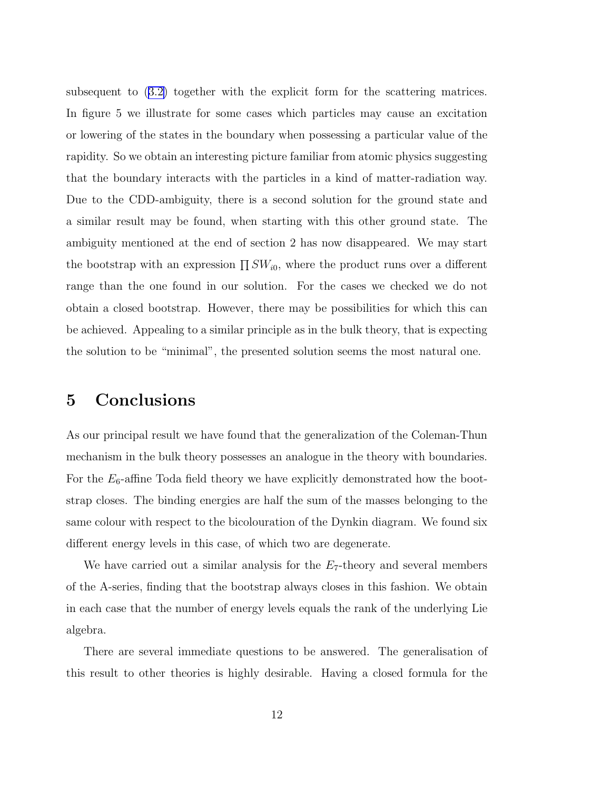subsequent to ([3.2\)](#page-6-0) together with the explicit form for the scattering matrices. In figure 5 we illustrate for some cases which particles may cause an excitation or lowering of the states in the boundary when possessing a particular value of the rapidity. So we obtain an interesting picture familiar from atomic physics suggesting that the boundary interacts with the particles in a kind of matter-radiation way. Due to the CDD-ambiguity, there is a second solution for the ground state and a similar result may be found, when starting with this other ground state. The ambiguity mentioned at the end of section 2 has now disappeared. We may start the bootstrap with an expression  $\prod SW_{i0}$ , where the product runs over a different range than the one found in our solution. For the cases we checked we do not obtain a closed bootstrap. However, there may be possibilities for which this can be achieved. Appealing to a similar principle as in the bulk theory, that is expecting the solution to be "minimal", the presented solution seems the most natural one.

## 5 Conclusions

As our principal result we have found that the generalization of the Coleman-Thun mechanism in the bulk theory possesses an analogue in the theory with boundaries. For the  $E_6$ -affine Toda field theory we have explicitly demonstrated how the bootstrap closes. The binding energies are half the sum of the masses belonging to the same colour with respect to the bicolouration of the Dynkin diagram. We found six different energy levels in this case, of which two are degenerate.

We have carried out a similar analysis for the  $E_7$ -theory and several members of the A-series, finding that the bootstrap always closes in this fashion. We obtain in each case that the number of energy levels equals the rank of the underlying Lie algebra.

There are several immediate questions to be answered. The generalisation of this result to other theories is highly desirable. Having a closed formula for the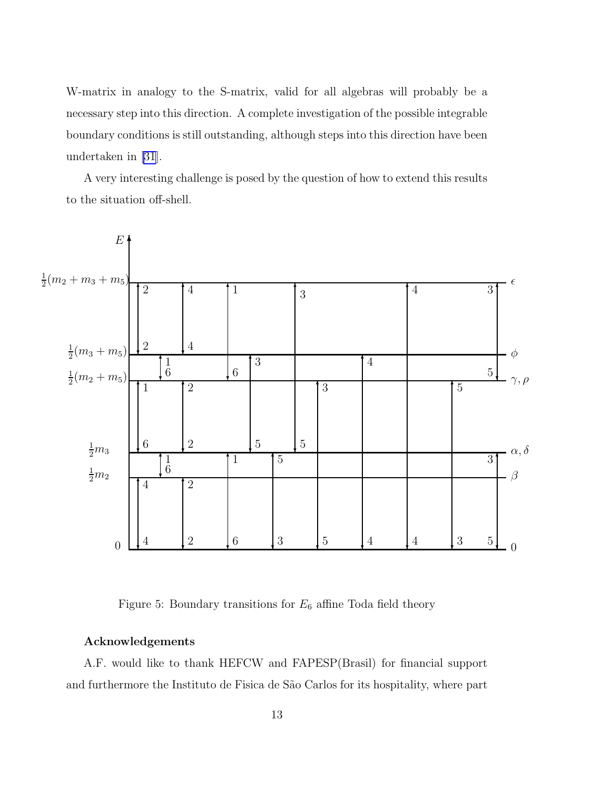W-matrix in analogy to the S-matrix, valid for all algebras will probably be a necessary step into this direction. A complete investigation of the possible integrable boundary conditions is still outstanding, although steps into this direction have been undertaken in [\[31](#page-18-0)].

A very interesting challenge is posed by the question of how to extend this results to the situation off-shell.



Figure 5: Boundary transitions for  $E_6$  affine Toda field theory

#### Acknowledgements

A.F. would like to thank HEFCW and FAPESP(Brasil) for financial support and furthermore the Instituto de Fisica de São Carlos for its hospitality, where part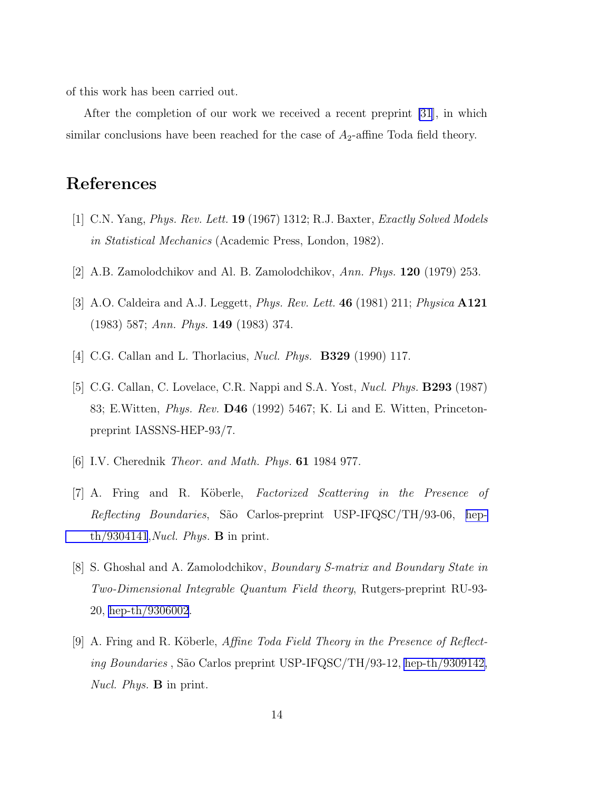<span id="page-16-0"></span>of this work has been carried out.

After the completion of our work we received a recent preprint [\[31](#page-18-0)], in which similar conclusions have been reached for the case of  $A_2$ -affine Toda field theory.

## References

- [1] C.N. Yang, *Phys. Rev. Lett.* 19 (1967) 1312; R.J. Baxter, *Exactly Solved Models in Statistical Mechanics* (Academic Press, London, 1982).
- [2] A.B. Zamolodchikov and Al. B. Zamolodchikov, *Ann. Phys.* 120 (1979) 253.
- [3] A.O. Caldeira and A.J. Leggett, *Phys. Rev. Lett.* 46 (1981) 211; *Physica* A121 (1983) 587; *Ann. Phys.* 149 (1983) 374.
- [4] C.G. Callan and L. Thorlacius, *Nucl. Phys.* B329 (1990) 117.
- [5] C.G. Callan, C. Lovelace, C.R. Nappi and S.A. Yost, *Nucl. Phys.* B293 (1987) 83; E.Witten, *Phys. Rev.* D46 (1992) 5467; K. Li and E. Witten, Princetonpreprint IASSNS-HEP-93/7.
- [6] I.V. Cherednik *Theor. and Math. Phys.* 61 1984 977.
- [7] A. Fring and R. K¨oberle, *Factorized Scattering in the Presence of Reflecting Boundaries*, São Carlos-preprint USP-IFQSC/TH/93-06, [hep](http://arXiv.org/abs/hep-th/9304141) $th/9304141$ , *Nucl. Phys.* **B** in print.
- [8] S. Ghoshal and A. Zamolodchikov, *Boundary S-matrix and Boundary State in Two-Dimensional Integrable Quantum Field theory*, Rutgers-preprint RU-93- 20, [hep-th/9306002](http://arXiv.org/abs/hep-th/9306002).
- [9] A. Fring and R. Köberle, *Affine Toda Field Theory in the Presence of Reflecting Boundaries* , S˜ao Carlos preprint USP-IFQSC/TH/93-12, [hep-th/9309142,](http://arXiv.org/abs/hep-th/9309142) *Nucl. Phys.* B in print.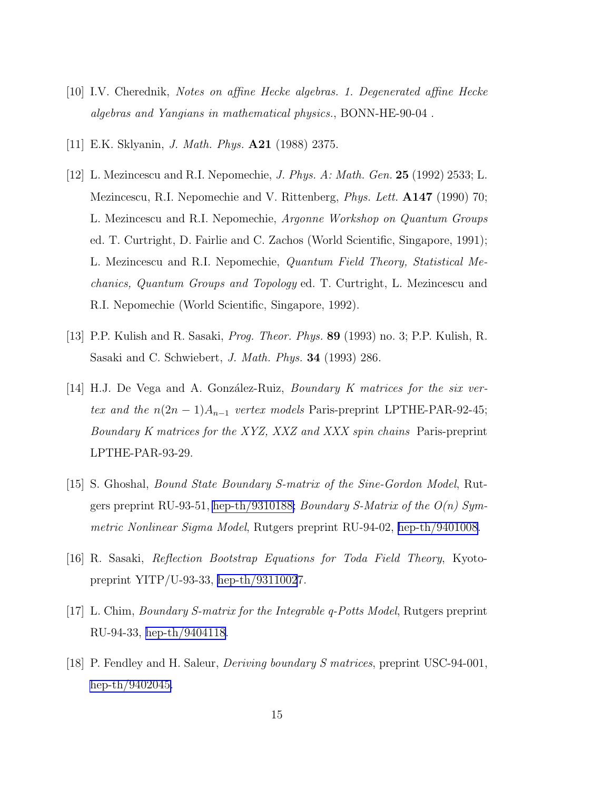- <span id="page-17-0"></span>[10] I.V. Cherednik, *Notes on affine Hecke algebras. 1. Degenerated affine Hecke algebras and Yangians in mathematical physics.*, BONN-HE-90-04 .
- [11] E.K. Sklyanin, *J. Math. Phys.* A21 (1988) 2375.
- [12] L. Mezincescu and R.I. Nepomechie, *J. Phys. A: Math. Gen.* 25 (1992) 2533; L. Mezincescu, R.I. Nepomechie and V. Rittenberg, *Phys. Lett.* A147 (1990) 70; L. Mezincescu and R.I. Nepomechie, *Argonne Workshop on Quantum Groups* ed. T. Curtright, D. Fairlie and C. Zachos (World Scientific, Singapore, 1991); L. Mezincescu and R.I. Nepomechie, *Quantum Field Theory, Statistical Mechanics, Quantum Groups and Topology* ed. T. Curtright, L. Mezincescu and R.I. Nepomechie (World Scientific, Singapore, 1992).
- [13] P.P. Kulish and R. Sasaki, *Prog. Theor. Phys.* 89 (1993) no. 3; P.P. Kulish, R. Sasaki and C. Schwiebert, *J. Math. Phys.* 34 (1993) 286.
- [14] H.J. De Vega and A. Gonz´alez-Ruiz, *Boundary K matrices for the six vertex and the*  $n(2n-1)A_{n-1}$  *vertex models* Paris-preprint LPTHE-PAR-92-45; *Boundary K matrices for the XYZ, XXZ and XXX spin chains* Paris-preprint LPTHE-PAR-93-29.
- [15] S. Ghoshal, *Bound State Boundary S-matrix of the Sine-Gordon Model*, Rutgers preprint RU-93-51, [hep-th/9310188;](http://arXiv.org/abs/hep-th/9310188) *Boundary S-Matrix of the O(n) Symmetric Nonlinear Sigma Model*, Rutgers preprint RU-94-02, [hep-th/9401008.](http://arXiv.org/abs/hep-th/9401008)
- [16] R. Sasaki, *Reflection Bootstrap Equations for Toda Field Theory*, Kyotopreprint YITP/U-93-33, [hep-th/9311002](http://arXiv.org/abs/hep-th/9311002)7.
- [17] L. Chim, *Boundary S-matrix for the Integrable q-Potts Model*, Rutgers preprint RU-94-33, [hep-th/9404118](http://arXiv.org/abs/hep-th/9404118).
- [18] P. Fendley and H. Saleur, *Deriving boundary S matrices*, preprint USC-94-001, [hep-th/9402045.](http://arXiv.org/abs/hep-th/9402045)